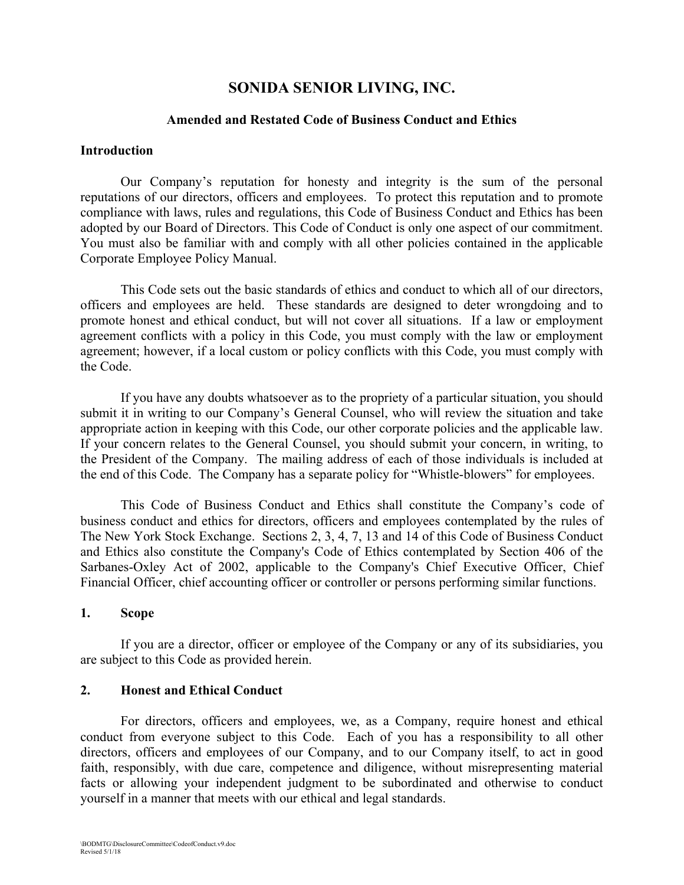# **SONIDA SENIOR LIVING, INC.**

#### **Amended and Restated Code of Business Conduct and Ethics**

#### **Introduction**

Our Company's reputation for honesty and integrity is the sum of the personal reputations of our directors, officers and employees. To protect this reputation and to promote compliance with laws, rules and regulations, this Code of Business Conduct and Ethics has been adopted by our Board of Directors. This Code of Conduct is only one aspect of our commitment. You must also be familiar with and comply with all other policies contained in the applicable Corporate Employee Policy Manual.

This Code sets out the basic standards of ethics and conduct to which all of our directors, officers and employees are held. These standards are designed to deter wrongdoing and to promote honest and ethical conduct, but will not cover all situations. If a law or employment agreement conflicts with a policy in this Code, you must comply with the law or employment agreement; however, if a local custom or policy conflicts with this Code, you must comply with the Code.

If you have any doubts whatsoever as to the propriety of a particular situation, you should submit it in writing to our Company's General Counsel, who will review the situation and take appropriate action in keeping with this Code, our other corporate policies and the applicable law. If your concern relates to the General Counsel, you should submit your concern, in writing, to the President of the Company. The mailing address of each of those individuals is included at the end of this Code. The Company has a separate policy for "Whistle-blowers" for employees.

This Code of Business Conduct and Ethics shall constitute the Company's code of business conduct and ethics for directors, officers and employees contemplated by the rules of The New York Stock Exchange. Sections 2, 3, 4, 7, 13 and 14 of this Code of Business Conduct and Ethics also constitute the Company's Code of Ethics contemplated by Section 406 of the Sarbanes-Oxley Act of 2002, applicable to the Company's Chief Executive Officer, Chief Financial Officer, chief accounting officer or controller or persons performing similar functions.

#### **1. Scope**

If you are a director, officer or employee of the Company or any of its subsidiaries, you are subject to this Code as provided herein.

#### **2. Honest and Ethical Conduct**

For directors, officers and employees, we, as a Company, require honest and ethical conduct from everyone subject to this Code. Each of you has a responsibility to all other directors, officers and employees of our Company, and to our Company itself, to act in good faith, responsibly, with due care, competence and diligence, without misrepresenting material facts or allowing your independent judgment to be subordinated and otherwise to conduct yourself in a manner that meets with our ethical and legal standards.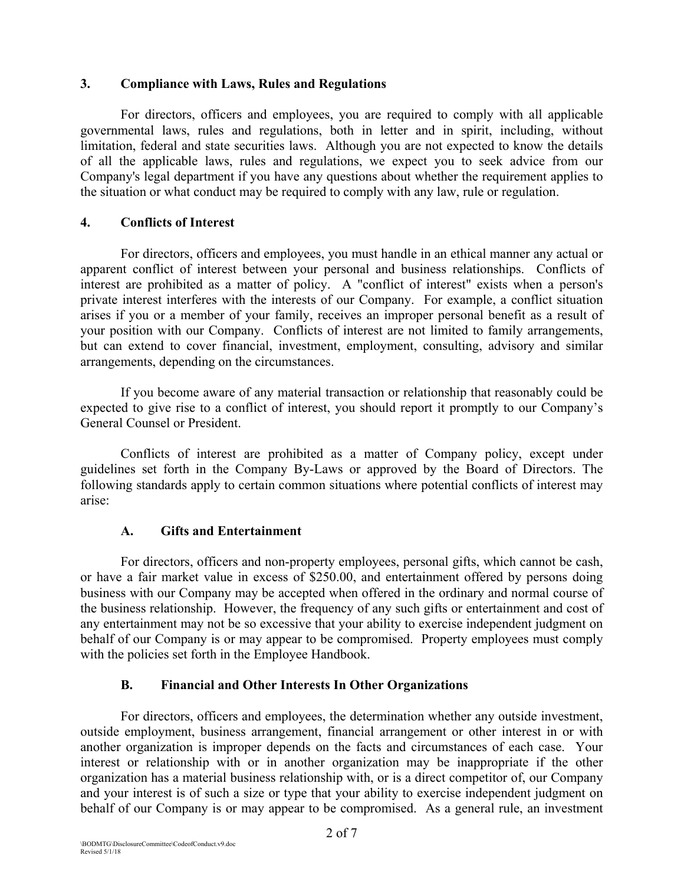#### **3. Compliance with Laws, Rules and Regulations**

For directors, officers and employees, you are required to comply with all applicable governmental laws, rules and regulations, both in letter and in spirit, including, without limitation, federal and state securities laws. Although you are not expected to know the details of all the applicable laws, rules and regulations, we expect you to seek advice from our Company's legal department if you have any questions about whether the requirement applies to the situation or what conduct may be required to comply with any law, rule or regulation.

## **4. Conflicts of Interest**

For directors, officers and employees, you must handle in an ethical manner any actual or apparent conflict of interest between your personal and business relationships. Conflicts of interest are prohibited as a matter of policy. A "conflict of interest" exists when a person's private interest interferes with the interests of our Company. For example, a conflict situation arises if you or a member of your family, receives an improper personal benefit as a result of your position with our Company. Conflicts of interest are not limited to family arrangements, but can extend to cover financial, investment, employment, consulting, advisory and similar arrangements, depending on the circumstances.

If you become aware of any material transaction or relationship that reasonably could be expected to give rise to a conflict of interest, you should report it promptly to our Company's General Counsel or President.

Conflicts of interest are prohibited as a matter of Company policy, except under guidelines set forth in the Company By-Laws or approved by the Board of Directors. The following standards apply to certain common situations where potential conflicts of interest may arise:

## **A. Gifts and Entertainment**

For directors, officers and non-property employees, personal gifts, which cannot be cash, or have a fair market value in excess of \$250.00, and entertainment offered by persons doing business with our Company may be accepted when offered in the ordinary and normal course of the business relationship. However, the frequency of any such gifts or entertainment and cost of any entertainment may not be so excessive that your ability to exercise independent judgment on behalf of our Company is or may appear to be compromised. Property employees must comply with the policies set forth in the Employee Handbook.

## **B. Financial and Other Interests In Other Organizations**

For directors, officers and employees, the determination whether any outside investment, outside employment, business arrangement, financial arrangement or other interest in or with another organization is improper depends on the facts and circumstances of each case. Your interest or relationship with or in another organization may be inappropriate if the other organization has a material business relationship with, or is a direct competitor of, our Company and your interest is of such a size or type that your ability to exercise independent judgment on behalf of our Company is or may appear to be compromised. As a general rule, an investment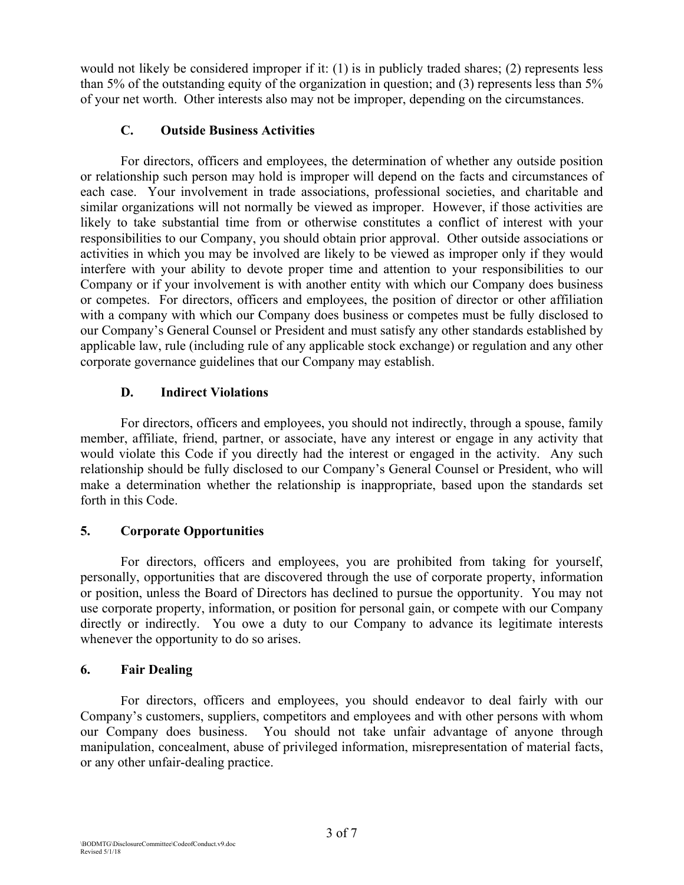would not likely be considered improper if it: (1) is in publicly traded shares; (2) represents less than 5% of the outstanding equity of the organization in question; and (3) represents less than 5% of your net worth. Other interests also may not be improper, depending on the circumstances.

## **C. Outside Business Activities**

For directors, officers and employees, the determination of whether any outside position or relationship such person may hold is improper will depend on the facts and circumstances of each case. Your involvement in trade associations, professional societies, and charitable and similar organizations will not normally be viewed as improper. However, if those activities are likely to take substantial time from or otherwise constitutes a conflict of interest with your responsibilities to our Company, you should obtain prior approval. Other outside associations or activities in which you may be involved are likely to be viewed as improper only if they would interfere with your ability to devote proper time and attention to your responsibilities to our Company or if your involvement is with another entity with which our Company does business or competes. For directors, officers and employees, the position of director or other affiliation with a company with which our Company does business or competes must be fully disclosed to our Company's General Counsel or President and must satisfy any other standards established by applicable law, rule (including rule of any applicable stock exchange) or regulation and any other corporate governance guidelines that our Company may establish.

## **D. Indirect Violations**

For directors, officers and employees, you should not indirectly, through a spouse, family member, affiliate, friend, partner, or associate, have any interest or engage in any activity that would violate this Code if you directly had the interest or engaged in the activity. Any such relationship should be fully disclosed to our Company's General Counsel or President, who will make a determination whether the relationship is inappropriate, based upon the standards set forth in this Code.

# **5. Corporate Opportunities**

For directors, officers and employees, you are prohibited from taking for yourself, personally, opportunities that are discovered through the use of corporate property, information or position, unless the Board of Directors has declined to pursue the opportunity. You may not use corporate property, information, or position for personal gain, or compete with our Company directly or indirectly. You owe a duty to our Company to advance its legitimate interests whenever the opportunity to do so arises.

## **6. Fair Dealing**

For directors, officers and employees, you should endeavor to deal fairly with our Company's customers, suppliers, competitors and employees and with other persons with whom our Company does business. You should not take unfair advantage of anyone through manipulation, concealment, abuse of privileged information, misrepresentation of material facts, or any other unfair-dealing practice.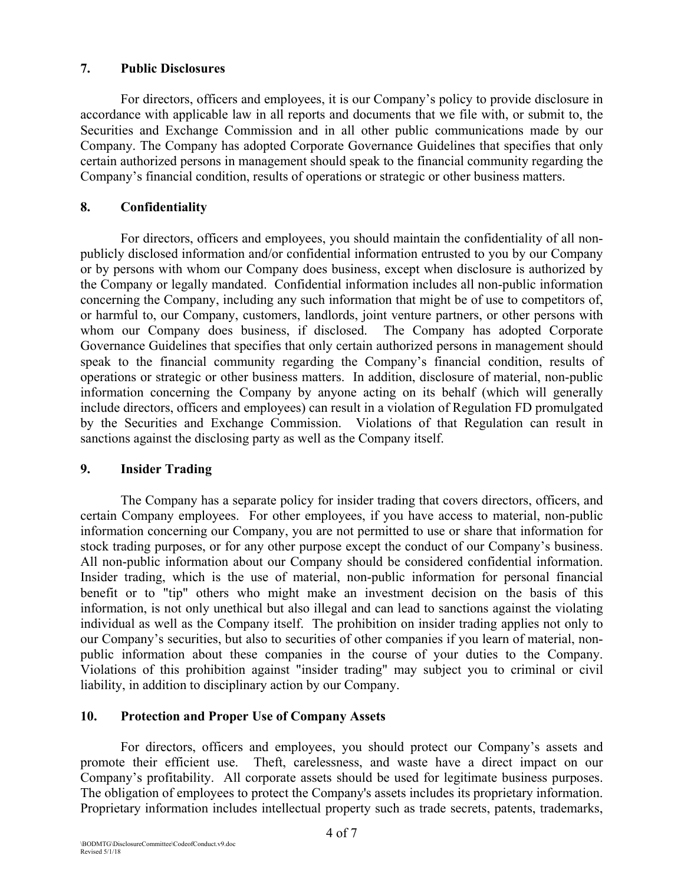## **7. Public Disclosures**

For directors, officers and employees, it is our Company's policy to provide disclosure in accordance with applicable law in all reports and documents that we file with, or submit to, the Securities and Exchange Commission and in all other public communications made by our Company. The Company has adopted Corporate Governance Guidelines that specifies that only certain authorized persons in management should speak to the financial community regarding the Company's financial condition, results of operations or strategic or other business matters.

## **8. Confidentiality**

For directors, officers and employees, you should maintain the confidentiality of all nonpublicly disclosed information and/or confidential information entrusted to you by our Company or by persons with whom our Company does business, except when disclosure is authorized by the Company or legally mandated. Confidential information includes all non-public information concerning the Company, including any such information that might be of use to competitors of, or harmful to, our Company, customers, landlords, joint venture partners, or other persons with whom our Company does business, if disclosed. The Company has adopted Corporate Governance Guidelines that specifies that only certain authorized persons in management should speak to the financial community regarding the Company's financial condition, results of operations or strategic or other business matters. In addition, disclosure of material, non-public information concerning the Company by anyone acting on its behalf (which will generally include directors, officers and employees) can result in a violation of Regulation FD promulgated by the Securities and Exchange Commission. Violations of that Regulation can result in sanctions against the disclosing party as well as the Company itself.

## **9. Insider Trading**

The Company has a separate policy for insider trading that covers directors, officers, and certain Company employees. For other employees, if you have access to material, non-public information concerning our Company, you are not permitted to use or share that information for stock trading purposes, or for any other purpose except the conduct of our Company's business. All non-public information about our Company should be considered confidential information. Insider trading, which is the use of material, non-public information for personal financial benefit or to "tip" others who might make an investment decision on the basis of this information, is not only unethical but also illegal and can lead to sanctions against the violating individual as well as the Company itself. The prohibition on insider trading applies not only to our Company's securities, but also to securities of other companies if you learn of material, nonpublic information about these companies in the course of your duties to the Company. Violations of this prohibition against "insider trading" may subject you to criminal or civil liability, in addition to disciplinary action by our Company.

## **10. Protection and Proper Use of Company Assets**

For directors, officers and employees, you should protect our Company's assets and promote their efficient use. Theft, carelessness, and waste have a direct impact on our Company's profitability. All corporate assets should be used for legitimate business purposes. The obligation of employees to protect the Company's assets includes its proprietary information. Proprietary information includes intellectual property such as trade secrets, patents, trademarks,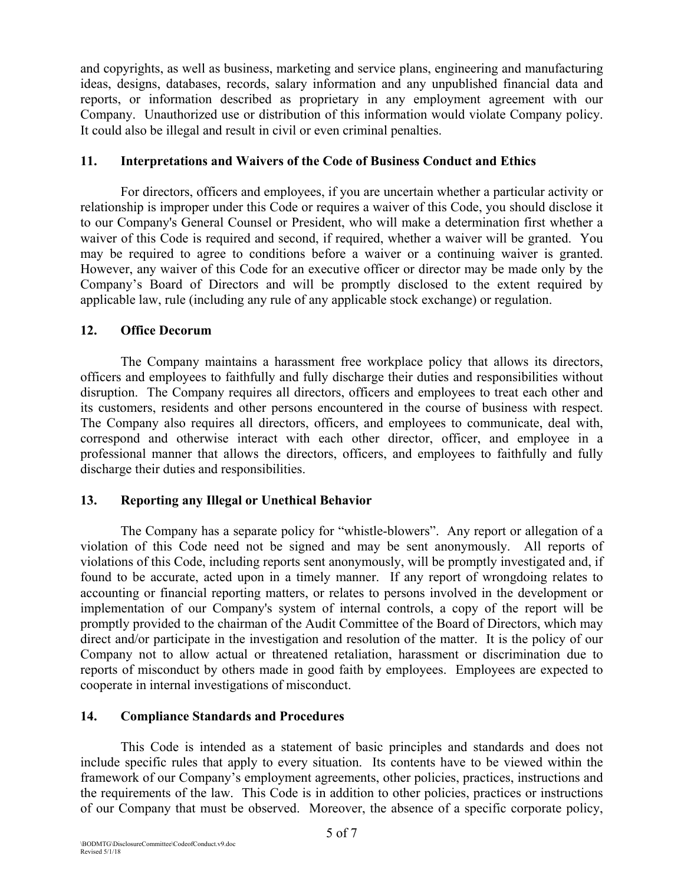and copyrights, as well as business, marketing and service plans, engineering and manufacturing ideas, designs, databases, records, salary information and any unpublished financial data and reports, or information described as proprietary in any employment agreement with our Company. Unauthorized use or distribution of this information would violate Company policy. It could also be illegal and result in civil or even criminal penalties.

## **11. Interpretations and Waivers of the Code of Business Conduct and Ethics**

For directors, officers and employees, if you are uncertain whether a particular activity or relationship is improper under this Code or requires a waiver of this Code, you should disclose it to our Company's General Counsel or President, who will make a determination first whether a waiver of this Code is required and second, if required, whether a waiver will be granted. You may be required to agree to conditions before a waiver or a continuing waiver is granted. However, any waiver of this Code for an executive officer or director may be made only by the Company's Board of Directors and will be promptly disclosed to the extent required by applicable law, rule (including any rule of any applicable stock exchange) or regulation.

## **12. Office Decorum**

The Company maintains a harassment free workplace policy that allows its directors, officers and employees to faithfully and fully discharge their duties and responsibilities without disruption. The Company requires all directors, officers and employees to treat each other and its customers, residents and other persons encountered in the course of business with respect. The Company also requires all directors, officers, and employees to communicate, deal with, correspond and otherwise interact with each other director, officer, and employee in a professional manner that allows the directors, officers, and employees to faithfully and fully discharge their duties and responsibilities.

# **13. Reporting any Illegal or Unethical Behavior**

The Company has a separate policy for "whistle-blowers". Any report or allegation of a violation of this Code need not be signed and may be sent anonymously. All reports of violations of this Code, including reports sent anonymously, will be promptly investigated and, if found to be accurate, acted upon in a timely manner. If any report of wrongdoing relates to accounting or financial reporting matters, or relates to persons involved in the development or implementation of our Company's system of internal controls, a copy of the report will be promptly provided to the chairman of the Audit Committee of the Board of Directors, which may direct and/or participate in the investigation and resolution of the matter. It is the policy of our Company not to allow actual or threatened retaliation, harassment or discrimination due to reports of misconduct by others made in good faith by employees. Employees are expected to cooperate in internal investigations of misconduct.

# **14. Compliance Standards and Procedures**

This Code is intended as a statement of basic principles and standards and does not include specific rules that apply to every situation. Its contents have to be viewed within the framework of our Company's employment agreements, other policies, practices, instructions and the requirements of the law. This Code is in addition to other policies, practices or instructions of our Company that must be observed. Moreover, the absence of a specific corporate policy,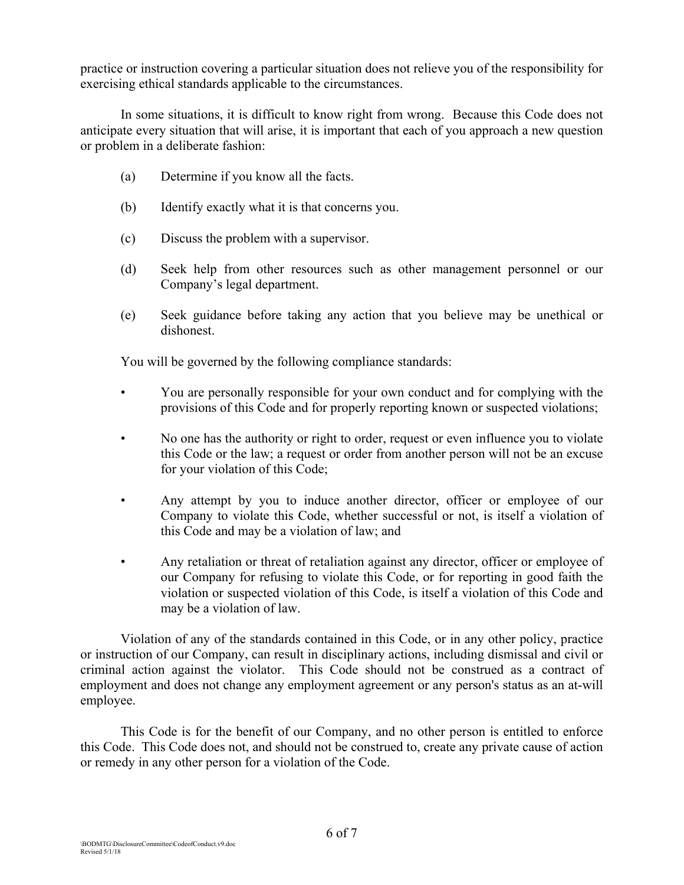practice or instruction covering a particular situation does not relieve you of the responsibility for exercising ethical standards applicable to the circumstances.

In some situations, it is difficult to know right from wrong. Because this Code does not anticipate every situation that will arise, it is important that each of you approach a new question or problem in a deliberate fashion:

- (a) Determine if you know all the facts.
- (b) Identify exactly what it is that concerns you.
- (c) Discuss the problem with a supervisor.
- (d) Seek help from other resources such as other management personnel or our Company's legal department.
- (e) Seek guidance before taking any action that you believe may be unethical or dishonest.

You will be governed by the following compliance standards:

- You are personally responsible for your own conduct and for complying with the provisions of this Code and for properly reporting known or suspected violations;
- No one has the authority or right to order, request or even influence you to violate this Code or the law; a request or order from another person will not be an excuse for your violation of this Code;
- Any attempt by you to induce another director, officer or employee of our Company to violate this Code, whether successful or not, is itself a violation of this Code and may be a violation of law; and
- Any retaliation or threat of retaliation against any director, officer or employee of our Company for refusing to violate this Code, or for reporting in good faith the violation or suspected violation of this Code, is itself a violation of this Code and may be a violation of law.

Violation of any of the standards contained in this Code, or in any other policy, practice or instruction of our Company, can result in disciplinary actions, including dismissal and civil or criminal action against the violator. This Code should not be construed as a contract of employment and does not change any employment agreement or any person's status as an at-will employee.

This Code is for the benefit of our Company, and no other person is entitled to enforce this Code. This Code does not, and should not be construed to, create any private cause of action or remedy in any other person for a violation of the Code.